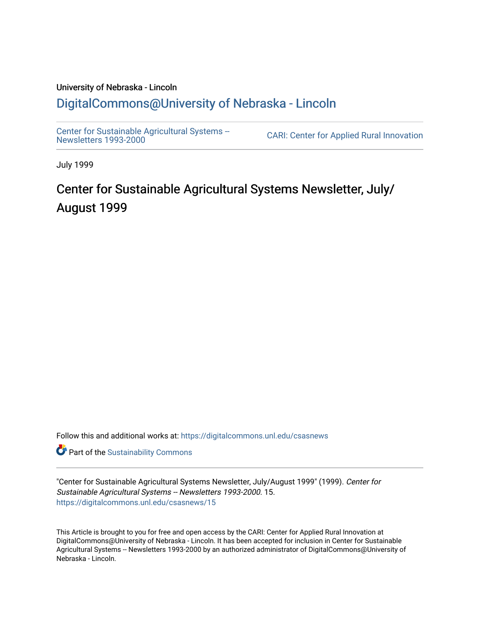## University of Nebraska - Lincoln [DigitalCommons@University of Nebraska - Lincoln](https://digitalcommons.unl.edu/)

[Center for Sustainable Agricultural Systems --](https://digitalcommons.unl.edu/csasnews)<br>Newsletters 1993-2000

CARI: Center for Applied Rural Innovation

July 1999

# Center for Sustainable Agricultural Systems Newsletter, July/ August 1999

Follow this and additional works at: [https://digitalcommons.unl.edu/csasnews](https://digitalcommons.unl.edu/csasnews?utm_source=digitalcommons.unl.edu%2Fcsasnews%2F15&utm_medium=PDF&utm_campaign=PDFCoverPages) 

**Part of the [Sustainability Commons](http://network.bepress.com/hgg/discipline/1031?utm_source=digitalcommons.unl.edu%2Fcsasnews%2F15&utm_medium=PDF&utm_campaign=PDFCoverPages)** 

"Center for Sustainable Agricultural Systems Newsletter, July/August 1999" (1999). Center for Sustainable Agricultural Systems -- Newsletters 1993-2000. 15. [https://digitalcommons.unl.edu/csasnews/15](https://digitalcommons.unl.edu/csasnews/15?utm_source=digitalcommons.unl.edu%2Fcsasnews%2F15&utm_medium=PDF&utm_campaign=PDFCoverPages) 

This Article is brought to you for free and open access by the CARI: Center for Applied Rural Innovation at DigitalCommons@University of Nebraska - Lincoln. It has been accepted for inclusion in Center for Sustainable Agricultural Systems -- Newsletters 1993-2000 by an authorized administrator of DigitalCommons@University of Nebraska - Lincoln.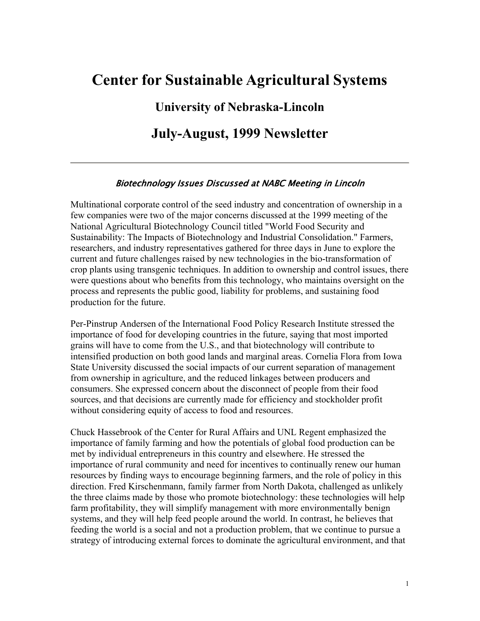# **Center for Sustainable Agricultural Systems**

**University of Nebraska-Lincoln**

**July-August, 1999 Newsletter**

#### Biotechnology Issues Discussed at NABC Meeting in Lincoln

Multinational corporate control of the seed industry and concentration of ownership in a few companies were two of the major concerns discussed at the 1999 meeting of the National Agricultural Biotechnology Council titled "World Food Security and Sustainability: The Impacts of Biotechnology and Industrial Consolidation." Farmers, researchers, and industry representatives gathered for three days in June to explore the current and future challenges raised by new technologies in the bio-transformation of crop plants using transgenic techniques. In addition to ownership and control issues, there were questions about who benefits from this technology, who maintains oversight on the process and represents the public good, liability for problems, and sustaining food production for the future.

Per-Pinstrup Andersen of the International Food Policy Research Institute stressed the importance of food for developing countries in the future, saying that most imported grains will have to come from the U.S., and that biotechnology will contribute to intensified production on both good lands and marginal areas. Cornelia Flora from Iowa State University discussed the social impacts of our current separation of management from ownership in agriculture, and the reduced linkages between producers and consumers. She expressed concern about the disconnect of people from their food sources, and that decisions are currently made for efficiency and stockholder profit without considering equity of access to food and resources.

Chuck Hassebrook of the Center for Rural Affairs and UNL Regent emphasized the importance of family farming and how the potentials of global food production can be met by individual entrepreneurs in this country and elsewhere. He stressed the importance of rural community and need for incentives to continually renew our human resources by finding ways to encourage beginning farmers, and the role of policy in this direction. Fred Kirschenmann, family farmer from North Dakota, challenged as unlikely the three claims made by those who promote biotechnology: these technologies will help farm profitability, they will simplify management with more environmentally benign systems, and they will help feed people around the world. In contrast, he believes that feeding the world is a social and not a production problem, that we continue to pursue a strategy of introducing external forces to dominate the agricultural environment, and that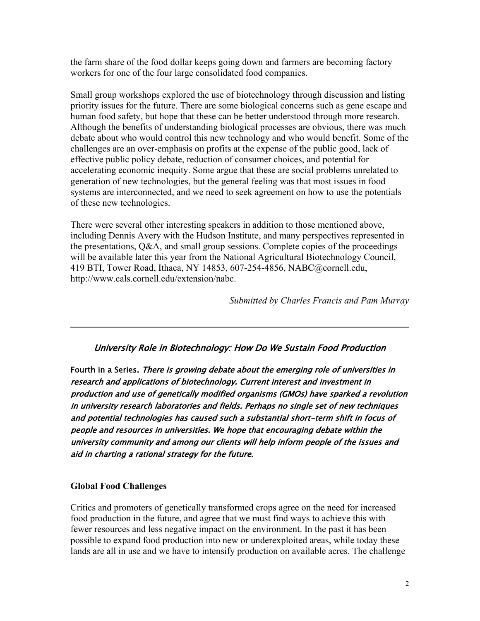the farm share of the food dollar keeps going down and farmers are becoming factory workers for one of the four large consolidated food companies.

Small group workshops explored the use of biotechnology through discussion and listing priority issues for the future. There are some biological concerns such as gene escape and human food safety, but hope that these can be better understood through more research. Although the benefits of understanding biological processes are obvious, there was much debate about who would control this new technology and who would benefit. Some of the challenges are an over-emphasis on profits at the expense of the public good, lack of effective public policy debate, reduction of consumer choices, and potential for accelerating economic inequity. Some argue that these are social problems unrelated to generation of new technologies, but the general feeling was that most issues in food systems are interconnected, and we need to seek agreement on how to use the potentials of these new technologies.

There were several other interesting speakers in addition to those mentioned above, including Dennis Avery with the Hudson Institute, and many perspectives represented in the presentations, Q&A, and small group sessions. Complete copies of the proceedings will be available later this year from the National Agricultural Biotechnology Council, 419 BTI, Tower Road, Ithaca, NY 14853, 607-254-4856, NABC@cornell.edu, http://www.cals.cornell.edu/extension/nabc.

*Submitted by Charles Francis and Pam Murray*

## University Role in Biotechnology: How Do We Sustain Food Production

Fourth in a Series. There is growing debate about the emerging role of universities in research and applications of biotechnology. Current interest and investment in production and use of genetically modified organisms (GMOs) have sparked a revolution in university research laboratories and fields. Perhaps no single set of new techniques and potential technologies has caused such a substantial short-term shift in focus of people and resources in universities. We hope that encouraging debate within the university community and among our clients will help inform people of the issues and aid in charting a rational strategy for the future.

#### **Global Food Challenges**

Critics and promoters of genetically transformed crops agree on the need for increased food production in the future, and agree that we must find ways to achieve this with fewer resources and less negative impact on the environment. In the past it has been possible to expand food production into new or underexploited areas, while today these lands are all in use and we have to intensify production on available acres. The challenge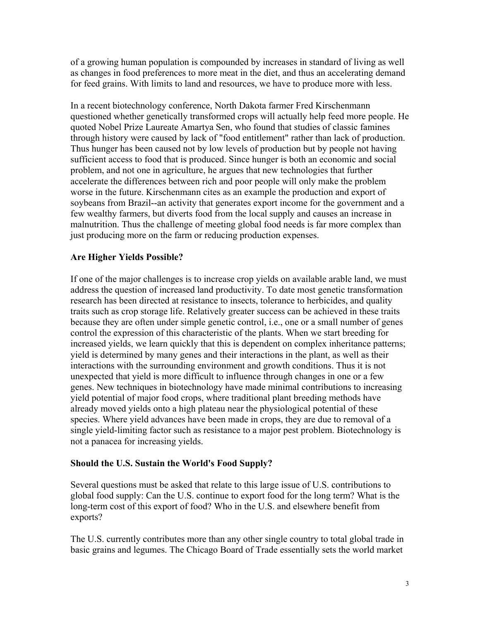of a growing human population is compounded by increases in standard of living as well as changes in food preferences to more meat in the diet, and thus an accelerating demand for feed grains. With limits to land and resources, we have to produce more with less.

In a recent biotechnology conference, North Dakota farmer Fred Kirschenmann questioned whether genetically transformed crops will actually help feed more people. He quoted Nobel Prize Laureate Amartya Sen, who found that studies of classic famines through history were caused by lack of "food entitlement" rather than lack of production. Thus hunger has been caused not by low levels of production but by people not having sufficient access to food that is produced. Since hunger is both an economic and social problem, and not one in agriculture, he argues that new technologies that further accelerate the differences between rich and poor people will only make the problem worse in the future. Kirschenmann cites as an example the production and export of soybeans from Brazil--an activity that generates export income for the government and a few wealthy farmers, but diverts food from the local supply and causes an increase in malnutrition. Thus the challenge of meeting global food needs is far more complex than just producing more on the farm or reducing production expenses.

#### **Are Higher Yields Possible?**

If one of the major challenges is to increase crop yields on available arable land, we must address the question of increased land productivity. To date most genetic transformation research has been directed at resistance to insects, tolerance to herbicides, and quality traits such as crop storage life. Relatively greater success can be achieved in these traits because they are often under simple genetic control, i.e., one or a small number of genes control the expression of this characteristic of the plants. When we start breeding for increased yields, we learn quickly that this is dependent on complex inheritance patterns; yield is determined by many genes and their interactions in the plant, as well as their interactions with the surrounding environment and growth conditions. Thus it is not unexpected that yield is more difficult to influence through changes in one or a few genes. New techniques in biotechnology have made minimal contributions to increasing yield potential of major food crops, where traditional plant breeding methods have already moved yields onto a high plateau near the physiological potential of these species. Where yield advances have been made in crops, they are due to removal of a single yield-limiting factor such as resistance to a major pest problem. Biotechnology is not a panacea for increasing yields.

#### **Should the U.S. Sustain the World's Food Supply?**

Several questions must be asked that relate to this large issue of U.S. contributions to global food supply: Can the U.S. continue to export food for the long term? What is the long-term cost of this export of food? Who in the U.S. and elsewhere benefit from exports?

The U.S. currently contributes more than any other single country to total global trade in basic grains and legumes. The Chicago Board of Trade essentially sets the world market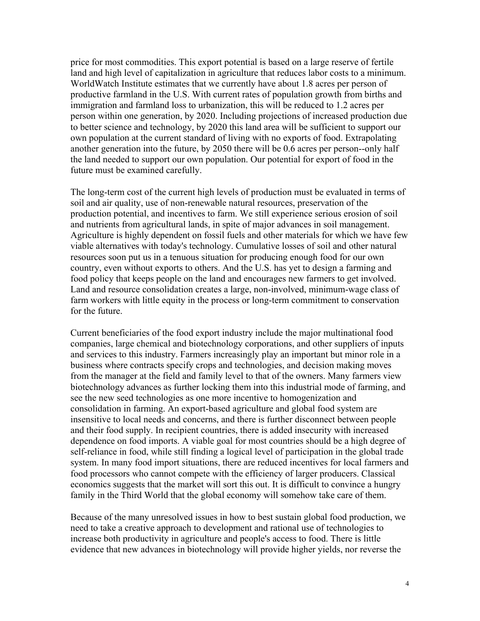price for most commodities. This export potential is based on a large reserve of fertile land and high level of capitalization in agriculture that reduces labor costs to a minimum. WorldWatch Institute estimates that we currently have about 1.8 acres per person of productive farmland in the U.S. With current rates of population growth from births and immigration and farmland loss to urbanization, this will be reduced to 1.2 acres per person within one generation, by 2020. Including projections of increased production due to better science and technology, by 2020 this land area will be sufficient to support our own population at the current standard of living with no exports of food. Extrapolating another generation into the future, by 2050 there will be 0.6 acres per person--only half the land needed to support our own population. Our potential for export of food in the future must be examined carefully.

The long-term cost of the current high levels of production must be evaluated in terms of soil and air quality, use of non-renewable natural resources, preservation of the production potential, and incentives to farm. We still experience serious erosion of soil and nutrients from agricultural lands, in spite of major advances in soil management. Agriculture is highly dependent on fossil fuels and other materials for which we have few viable alternatives with today's technology. Cumulative losses of soil and other natural resources soon put us in a tenuous situation for producing enough food for our own country, even without exports to others. And the U.S. has yet to design a farming and food policy that keeps people on the land and encourages new farmers to get involved. Land and resource consolidation creates a large, non-involved, minimum-wage class of farm workers with little equity in the process or long-term commitment to conservation for the future.

Current beneficiaries of the food export industry include the major multinational food companies, large chemical and biotechnology corporations, and other suppliers of inputs and services to this industry. Farmers increasingly play an important but minor role in a business where contracts specify crops and technologies, and decision making moves from the manager at the field and family level to that of the owners. Many farmers view biotechnology advances as further locking them into this industrial mode of farming, and see the new seed technologies as one more incentive to homogenization and consolidation in farming. An export-based agriculture and global food system are insensitive to local needs and concerns, and there is further disconnect between people and their food supply. In recipient countries, there is added insecurity with increased dependence on food imports. A viable goal for most countries should be a high degree of self-reliance in food, while still finding a logical level of participation in the global trade system. In many food import situations, there are reduced incentives for local farmers and food processors who cannot compete with the efficiency of larger producers. Classical economics suggests that the market will sort this out. It is difficult to convince a hungry family in the Third World that the global economy will somehow take care of them.

Because of the many unresolved issues in how to best sustain global food production, we need to take a creative approach to development and rational use of technologies to increase both productivity in agriculture and people's access to food. There is little evidence that new advances in biotechnology will provide higher yields, nor reverse the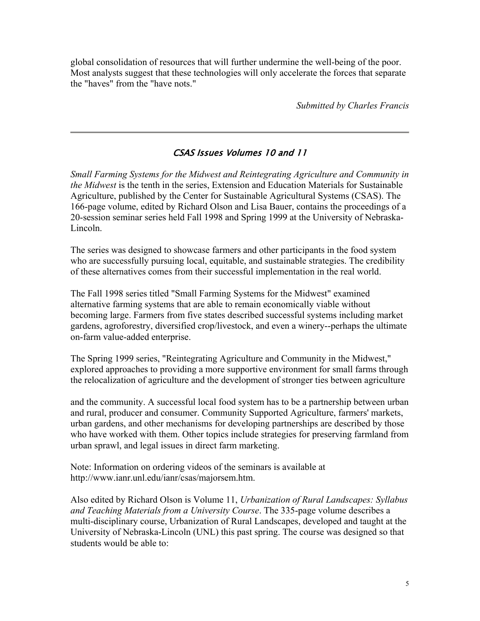global consolidation of resources that will further undermine the well-being of the poor. Most analysts suggest that these technologies will only accelerate the forces that separate the "haves" from the "have nots."

*Submitted by Charles Francis*

## CSAS Issues Volumes 10 and 11

*Small Farming Systems for the Midwest and Reintegrating Agriculture and Community in the Midwest* is the tenth in the series, Extension and Education Materials for Sustainable Agriculture, published by the Center for Sustainable Agricultural Systems (CSAS). The 166-page volume, edited by Richard Olson and Lisa Bauer, contains the proceedings of a 20-session seminar series held Fall 1998 and Spring 1999 at the University of Nebraska-Lincoln.

The series was designed to showcase farmers and other participants in the food system who are successfully pursuing local, equitable, and sustainable strategies. The credibility of these alternatives comes from their successful implementation in the real world.

The Fall 1998 series titled "Small Farming Systems for the Midwest" examined alternative farming systems that are able to remain economically viable without becoming large. Farmers from five states described successful systems including market gardens, agroforestry, diversified crop/livestock, and even a winery--perhaps the ultimate on-farm value-added enterprise.

The Spring 1999 series, "Reintegrating Agriculture and Community in the Midwest," explored approaches to providing a more supportive environment for small farms through the relocalization of agriculture and the development of stronger ties between agriculture

and the community. A successful local food system has to be a partnership between urban and rural, producer and consumer. Community Supported Agriculture, farmers' markets, urban gardens, and other mechanisms for developing partnerships are described by those who have worked with them. Other topics include strategies for preserving farmland from urban sprawl, and legal issues in direct farm marketing.

Note: Information on ordering videos of the seminars is available at http://www.ianr.unl.edu/ianr/csas/majorsem.htm.

Also edited by Richard Olson is Volume 11, *Urbanization of Rural Landscapes: Syllabus and Teaching Materials from a University Course*. The 335-page volume describes a multi-disciplinary course, Urbanization of Rural Landscapes, developed and taught at the University of Nebraska-Lincoln (UNL) this past spring. The course was designed so that students would be able to: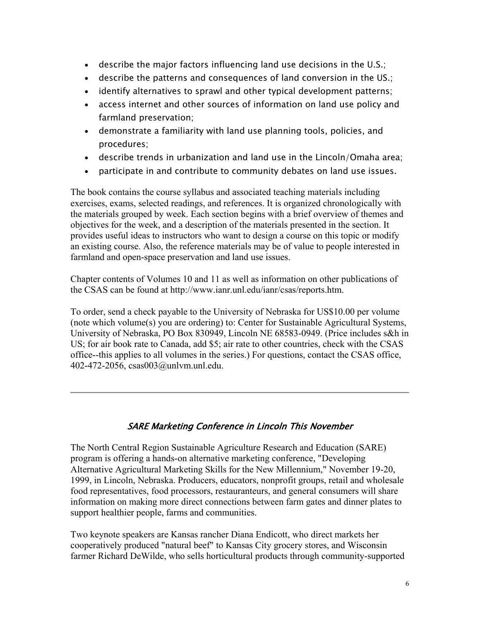- describe the major factors influencing land use decisions in the U.S.;
- describe the patterns and consequences of land conversion in the US.;
- identify alternatives to sprawl and other typical development patterns;
- access internet and other sources of information on land use policy and farmland preservation;
- demonstrate a familiarity with land use planning tools, policies, and procedures;
- describe trends in urbanization and land use in the Lincoln/Omaha area;
- participate in and contribute to community debates on land use issues.

The book contains the course syllabus and associated teaching materials including exercises, exams, selected readings, and references. It is organized chronologically with the materials grouped by week. Each section begins with a brief overview of themes and objectives for the week, and a description of the materials presented in the section. It provides useful ideas to instructors who want to design a course on this topic or modify an existing course. Also, the reference materials may be of value to people interested in farmland and open-space preservation and land use issues.

Chapter contents of Volumes 10 and 11 as well as information on other publications of the CSAS can be found at http://www.ianr.unl.edu/ianr/csas/reports.htm.

To order, send a check payable to the University of Nebraska for US\$10.00 per volume (note which volume(s) you are ordering) to: Center for Sustainable Agricultural Systems, University of Nebraska, PO Box 830949, Lincoln NE 68583-0949. (Price includes s&h in US; for air book rate to Canada, add \$5; air rate to other countries, check with the CSAS office--this applies to all volumes in the series.) For questions, contact the CSAS office, 402-472-2056, csas003@unlvm.unl.edu.

## SARE Marketing Conference in Lincoln This November

The North Central Region Sustainable Agriculture Research and Education (SARE) program is offering a hands-on alternative marketing conference, "Developing Alternative Agricultural Marketing Skills for the New Millennium," November 19-20, 1999, in Lincoln, Nebraska. Producers, educators, nonprofit groups, retail and wholesale food representatives, food processors, restauranteurs, and general consumers will share information on making more direct connections between farm gates and dinner plates to support healthier people, farms and communities.

Two keynote speakers are Kansas rancher Diana Endicott, who direct markets her cooperatively produced "natural beef" to Kansas City grocery stores, and Wisconsin farmer Richard DeWilde, who sells horticultural products through community-supported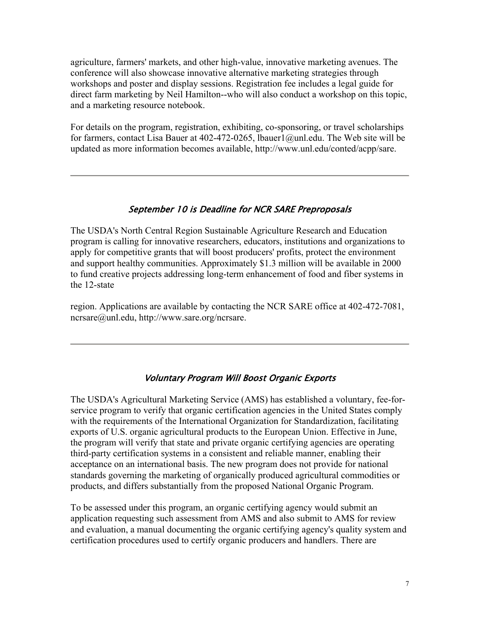agriculture, farmers' markets, and other high-value, innovative marketing avenues. The conference will also showcase innovative alternative marketing strategies through workshops and poster and display sessions. Registration fee includes a legal guide for direct farm marketing by Neil Hamilton--who will also conduct a workshop on this topic, and a marketing resource notebook.

For details on the program, registration, exhibiting, co-sponsoring, or travel scholarships for farmers, contact Lisa Bauer at 402-472-0265, lbauer1@unl.edu. The Web site will be updated as more information becomes available, http://www.unl.edu/conted/acpp/sare.

#### September 10 is Deadline for NCR SARE Preproposals

The USDA's North Central Region Sustainable Agriculture Research and Education program is calling for innovative researchers, educators, institutions and organizations to apply for competitive grants that will boost producers' profits, protect the environment and support healthy communities. Approximately \$1.3 million will be available in 2000 to fund creative projects addressing long-term enhancement of food and fiber systems in the 12-state

region. Applications are available by contacting the NCR SARE office at 402-472-7081, ncrsare@unl.edu, http://www.sare.org/ncrsare.

#### Voluntary Program Will Boost Organic Exports

The USDA's Agricultural Marketing Service (AMS) has established a voluntary, fee-forservice program to verify that organic certification agencies in the United States comply with the requirements of the International Organization for Standardization, facilitating exports of U.S. organic agricultural products to the European Union. Effective in June, the program will verify that state and private organic certifying agencies are operating third-party certification systems in a consistent and reliable manner, enabling their acceptance on an international basis. The new program does not provide for national standards governing the marketing of organically produced agricultural commodities or products, and differs substantially from the proposed National Organic Program.

To be assessed under this program, an organic certifying agency would submit an application requesting such assessment from AMS and also submit to AMS for review and evaluation, a manual documenting the organic certifying agency's quality system and certification procedures used to certify organic producers and handlers. There are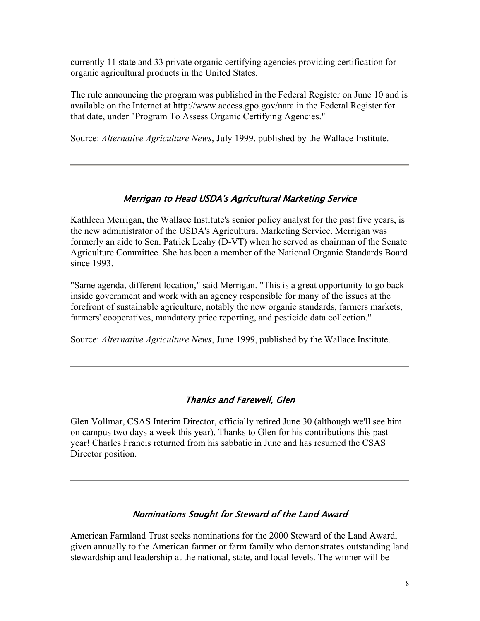currently 11 state and 33 private organic certifying agencies providing certification for organic agricultural products in the United States.

The rule announcing the program was published in the Federal Register on June 10 and is available on the Internet at http://www.access.gpo.gov/nara in the Federal Register for that date, under "Program To Assess Organic Certifying Agencies."

Source: *Alternative Agriculture News*, July 1999, published by the Wallace Institute.

## Merrigan to Head USDA's Agricultural Marketing Service

Kathleen Merrigan, the Wallace Institute's senior policy analyst for the past five years, is the new administrator of the USDA's Agricultural Marketing Service. Merrigan was formerly an aide to Sen. Patrick Leahy (D-VT) when he served as chairman of the Senate Agriculture Committee. She has been a member of the National Organic Standards Board since 1993.

"Same agenda, different location," said Merrigan. "This is a great opportunity to go back inside government and work with an agency responsible for many of the issues at the forefront of sustainable agriculture, notably the new organic standards, farmers markets, farmers' cooperatives, mandatory price reporting, and pesticide data collection."

Source: *Alternative Agriculture News*, June 1999, published by the Wallace Institute.

## Thanks and Farewell, Glen

Glen Vollmar, CSAS Interim Director, officially retired June 30 (although we'll see him on campus two days a week this year). Thanks to Glen for his contributions this past year! Charles Francis returned from his sabbatic in June and has resumed the CSAS Director position.

## Nominations Sought for Steward of the Land Award

American Farmland Trust seeks nominations for the 2000 Steward of the Land Award, given annually to the American farmer or farm family who demonstrates outstanding land stewardship and leadership at the national, state, and local levels. The winner will be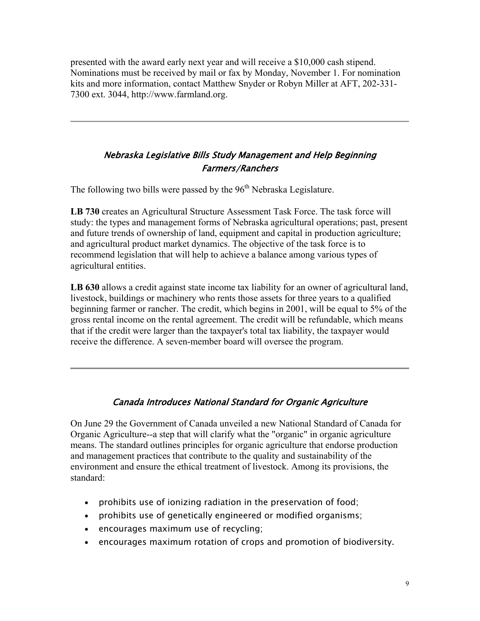presented with the award early next year and will receive a \$10,000 cash stipend. Nominations must be received by mail or fax by Monday, November 1. For nomination kits and more information, contact Matthew Snyder or Robyn Miller at AFT, 202-331- 7300 ext. 3044, http://www.farmland.org.

## Nebraska Legislative Bills Study Management and Help Beginning Farmers/Ranchers

The following two bills were passed by the  $96<sup>th</sup>$  Nebraska Legislature.

**LB 730** creates an Agricultural Structure Assessment Task Force. The task force will study: the types and management forms of Nebraska agricultural operations; past, present and future trends of ownership of land, equipment and capital in production agriculture; and agricultural product market dynamics. The objective of the task force is to recommend legislation that will help to achieve a balance among various types of agricultural entities.

**LB 630** allows a credit against state income tax liability for an owner of agricultural land, livestock, buildings or machinery who rents those assets for three years to a qualified beginning farmer or rancher. The credit, which begins in 2001, will be equal to 5% of the gross rental income on the rental agreement. The credit will be refundable, which means that if the credit were larger than the taxpayer's total tax liability, the taxpayer would receive the difference. A seven-member board will oversee the program.

## Canada Introduces National Standard for Organic Agriculture

On June 29 the Government of Canada unveiled a new National Standard of Canada for Organic Agriculture--a step that will clarify what the "organic" in organic agriculture means. The standard outlines principles for organic agriculture that endorse production and management practices that contribute to the quality and sustainability of the environment and ensure the ethical treatment of livestock. Among its provisions, the standard:

- prohibits use of ionizing radiation in the preservation of food;
- prohibits use of genetically engineered or modified organisms;
- encourages maximum use of recycling;
- encourages maximum rotation of crops and promotion of biodiversity.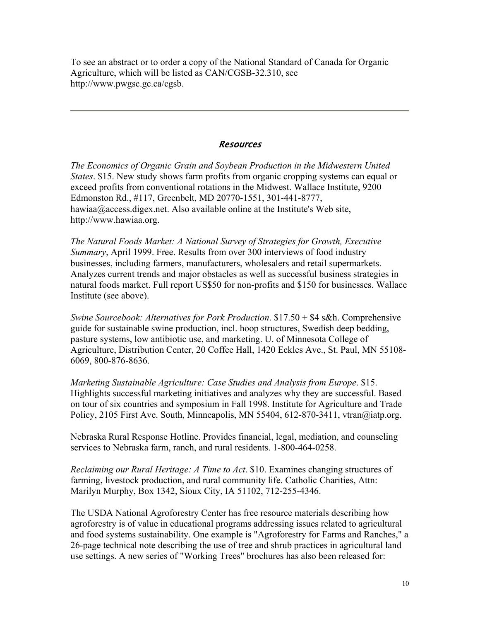To see an abstract or to order a copy of the National Standard of Canada for Organic Agriculture, which will be listed as CAN/CGSB-32.310, see http://www.pwgsc.gc.ca/cgsb.

#### **Resources**

*The Economics of Organic Grain and Soybean Production in the Midwestern United States*. \$15. New study shows farm profits from organic cropping systems can equal or exceed profits from conventional rotations in the Midwest. Wallace Institute, 9200 Edmonston Rd., #117, Greenbelt, MD 20770-1551, 301-441-8777, hawiaa@access.digex.net. Also available online at the Institute's Web site, http://www.hawiaa.org.

*The Natural Foods Market: A National Survey of Strategies for Growth, Executive Summary*, April 1999. Free. Results from over 300 interviews of food industry businesses, including farmers, manufacturers, wholesalers and retail supermarkets. Analyzes current trends and major obstacles as well as successful business strategies in natural foods market. Full report US\$50 for non-profits and \$150 for businesses. Wallace Institute (see above).

*Swine Sourcebook: Alternatives for Pork Production*. \$17.50 + \$4 s&h. Comprehensive guide for sustainable swine production, incl. hoop structures, Swedish deep bedding, pasture systems, low antibiotic use, and marketing. U. of Minnesota College of Agriculture, Distribution Center, 20 Coffee Hall, 1420 Eckles Ave., St. Paul, MN 55108- 6069, 800-876-8636.

*Marketing Sustainable Agriculture: Case Studies and Analysis from Europe*. \$15. Highlights successful marketing initiatives and analyzes why they are successful. Based on tour of six countries and symposium in Fall 1998. Institute for Agriculture and Trade Policy, 2105 First Ave. South, Minneapolis, MN 55404, 612-870-3411, vtran@iatp.org.

Nebraska Rural Response Hotline. Provides financial, legal, mediation, and counseling services to Nebraska farm, ranch, and rural residents. 1-800-464-0258.

*Reclaiming our Rural Heritage: A Time to Act*. \$10. Examines changing structures of farming, livestock production, and rural community life. Catholic Charities, Attn: Marilyn Murphy, Box 1342, Sioux City, IA 51102, 712-255-4346.

The USDA National Agroforestry Center has free resource materials describing how agroforestry is of value in educational programs addressing issues related to agricultural and food systems sustainability. One example is "Agroforestry for Farms and Ranches," a 26-page technical note describing the use of tree and shrub practices in agricultural land use settings. A new series of "Working Trees" brochures has also been released for: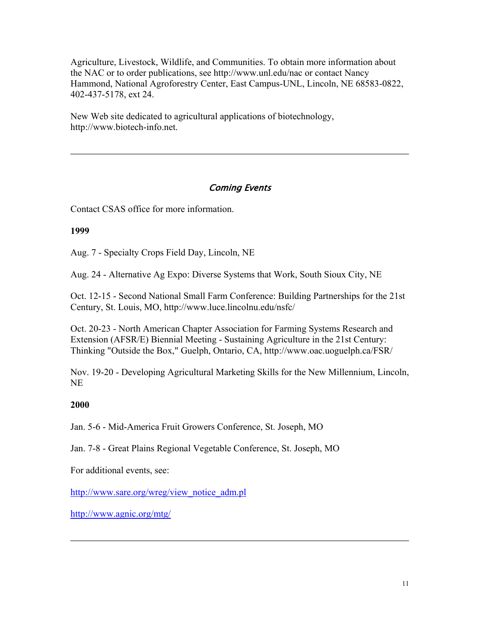Agriculture, Livestock, Wildlife, and Communities. To obtain more information about the NAC or to order publications, see http://www.unl.edu/nac or contact Nancy Hammond, National Agroforestry Center, East Campus-UNL, Lincoln, NE 68583-0822, 402-437-5178, ext 24.

New Web site dedicated to agricultural applications of biotechnology, http://www.biotech-info.net.

## Coming Events

Contact CSAS office for more information.

### **1999**

Aug. 7 - Specialty Crops Field Day, Lincoln, NE

Aug. 24 - Alternative Ag Expo: Diverse Systems that Work, South Sioux City, NE

Oct. 12-15 - Second National Small Farm Conference: Building Partnerships for the 21st Century, St. Louis, MO, http://www.luce.lincolnu.edu/nsfc/

Oct. 20-23 - North American Chapter Association for Farming Systems Research and Extension (AFSR/E) Biennial Meeting - Sustaining Agriculture in the 21st Century: Thinking "Outside the Box," Guelph, Ontario, CA, http://www.oac.uoguelph.ca/FSR/

Nov. 19-20 - Developing Agricultural Marketing Skills for the New Millennium, Lincoln, NE

## **2000**

Jan. 5-6 - Mid-America Fruit Growers Conference, St. Joseph, MO

Jan. 7-8 - Great Plains Regional Vegetable Conference, St. Joseph, MO

For additional events, see:

http://www.sare.org/wreg/view\_notice\_adm.pl

http://www.agnic.org/mtg/